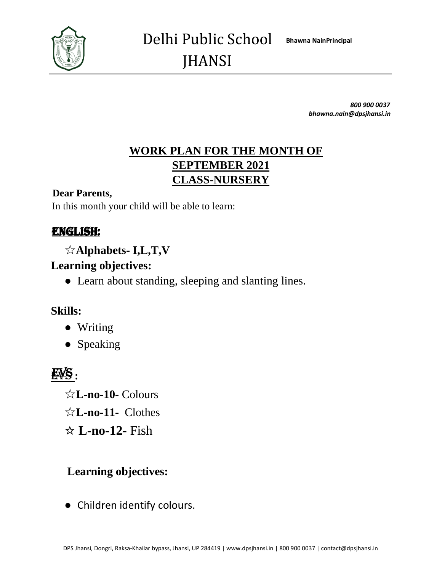

*800 900 0037 bhawna.nain@dpsjhansi.in*

# **WORK PLAN FOR THE MONTH OF SEPTEMBER 2021 CLASS-NURSERY**

#### **Dear Parents,**

In this month your child will be able to learn:

## ENGLISH:

☆**Alphabets- I,L,T,V**

#### **Learning objectives:**

**●** Learn about standing, sleeping and slanting lines.

#### **Skills:**

- **●** Writing
- **●** Speaking

# EVS **:**

☆**L-no-10-** Colours ☆**L-no-11-** Clothes ☆ **L-no-12-** Fish

# **Learning objectives:**

**●** Children identify colours.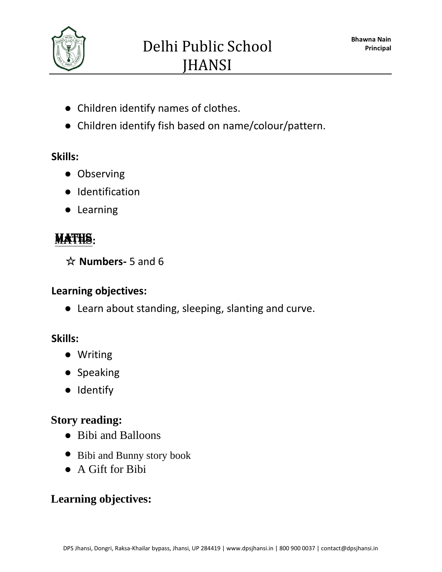

- **●** Children identify names of clothes.
- **●** Children identify fish based on name/colour/pattern.

#### **Skills:**

- **●** Observing
- **●** Identification
- **●** Learning

# MATHS**:**

☆ **Numbers-** 5 and 6

## **Learning objectives:**

**●** Learn about standing, sleeping, slanting and curve.

# **Skills:**

- **●** Writing
- **●** Speaking
- **●** Identify

# **Story reading:**

- **●** Bibi and Balloons
- **●** Bibi and Bunny story book
- **●** A Gift for Bibi

# **Learning objectives:**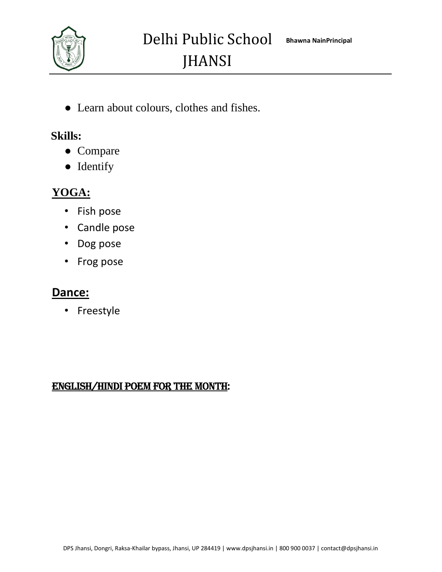

**●** Learn about colours, clothes and fishes.

#### **Skills:**

- **●** Compare
- **●** Identify

# **YOGA:**

- Fish pose
- Candle pose
- Dog pose
- Frog pose

### **Dance:**

• Freestyle

#### ENGLISH/HINDI POEM FOR THE MONTH: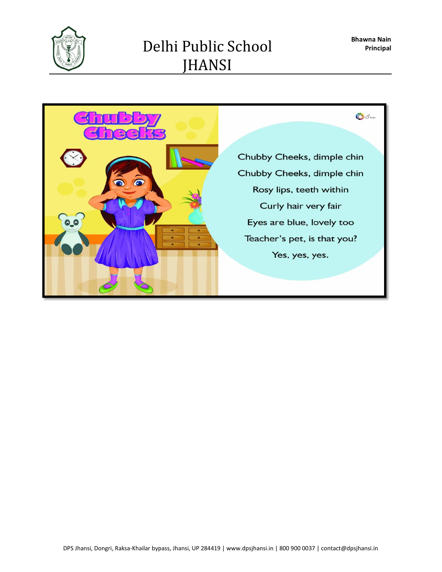

# Delhi Public School JHANSI

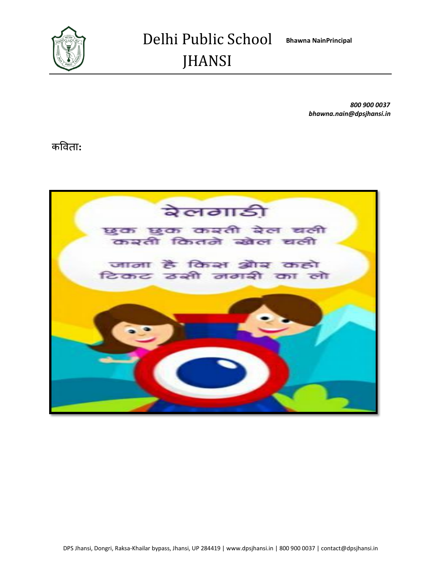

*800 900 0037 bhawna.nain@dpsjhansi.in*

कविता**:**

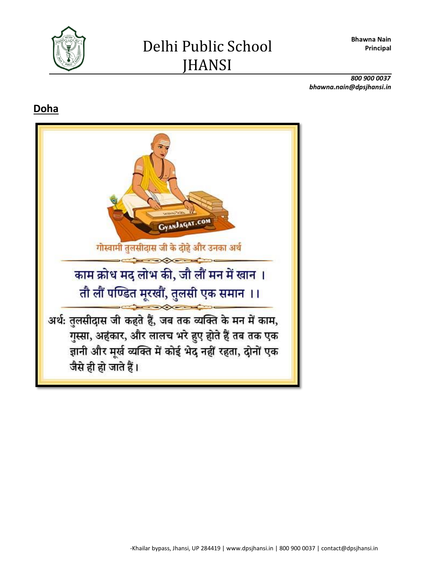**Bhawna Nain Principal**



*800 900 0037 bhawna.nain@dpsjhansi.in*

## **Doha**

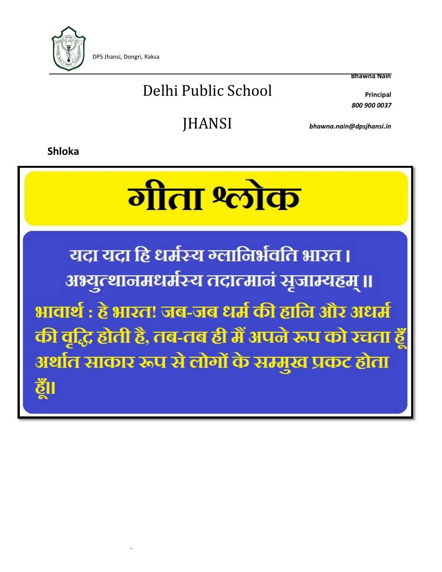

-

Delhi Public School **Principal**

**Bhawna Nain**

*800 900 0037*

JHANSI *bhawna.nain@dpsjhansi.in*

**Shloka**

# <u>गीता श्लोक</u>

यदा यदा हि धर्मस्य न्लानिर्भवति भारत । अभ्युत्थानमधर्मस्य तदात्मानं सृजाम्यहम् ॥ भावार्थ : हे भारत! जब-जब धर्म की हानि और अधर्म की वृद्धि होती है, तब-तब ही मैं अपने रूप को रचता हूँ अर्थात साकार रूप से लोगों के सम्मुख प्रकट होता ðΙ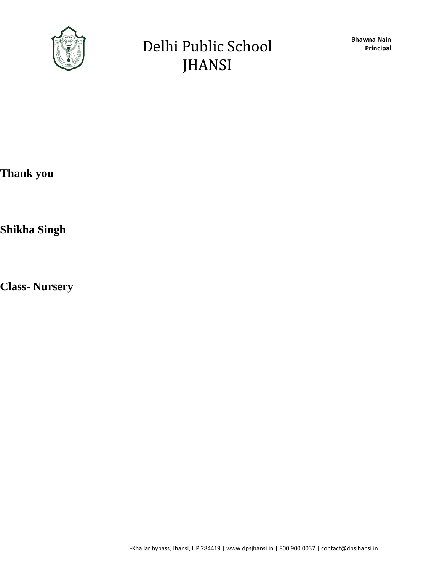

**Thank you** 

**Shikha Singh** 

**Class- Nursery**